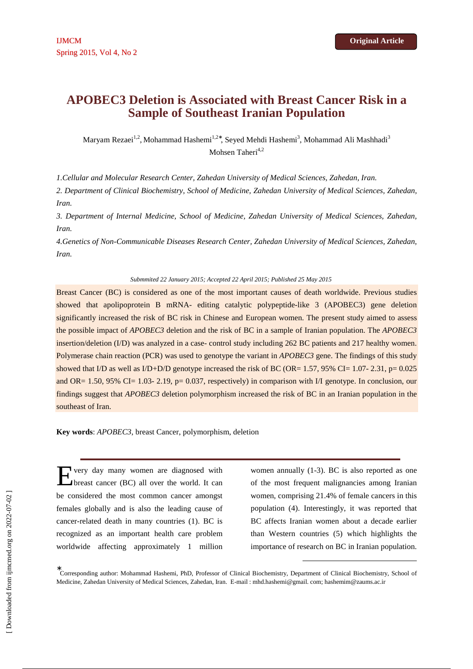# **APOBEC3 Deletion is Associated with Breast Cancer Risk in a Sample of Southeast Iranian Population**

Maryam Rezaei<sup>1,2</sup>, Mohammad Hashemi<sup>1,2∗</sup>, Seyed Mehdi Hashemi<sup>3</sup>, Mohammad Ali Mashhadi<sup>3</sup> Mohsen Taheri $4,2$ 

*1.Cellular and Molecular Research Center, Zahedan University of Medical Sciences, Zahedan, Iran.* 

*2. Department of Clinical Biochemistry, School of Medicine, Zahedan University of Medical Sciences, Zahedan, Iran.* 

*3. Department of Internal Medicine, School of Medicine, Zahedan University of Medical Sciences, Zahedan, Iran.* 

*4.Genetics of Non-Communicable Diseases Research Center, Zahedan University of Medical Sciences, Zahedan, Iran.* 

#### *Submmited 22 January 2015; Accepted 22 April 2015; Published 25 May 2015*

Breast Cancer (BC) is considered as one of the most important causes of death worldwide. Previous studies showed that apolipoprotein B mRNA- editing catalytic polypeptide-like 3 (APOBEC3) gene deletion significantly increased the risk of BC risk in Chinese and European women. The present study aimed to assess the possible impact of *APOBEC3* deletion and the risk of BC in a sample of Iranian population. The *APOBEC3* insertion/deletion (I/D) was analyzed in a case- control study including 262 BC patients and 217 healthy women. Polymerase chain reaction (PCR) was used to genotype the variant in *APOBEC3* gene. The findings of this study showed that I/D as well as I/D+D/D genotype increased the risk of BC (OR= 1.57, 95% CI= 1.07- 2.31, p= 0.025 and OR= 1.50, 95% CI= 1.03- 2.19, p= 0.037, respectively) in comparison with I/I genotype. In conclusion, our findings suggest that *APOBEC3* deletion polymorphism increased the risk of BC in an Iranian population in the southeast of Iran.

**Key words**: *APOBEC3*, breast Cancer, polymorphism, deletion

very day many women are diagnosed with breast cancer (BC) all over the world. It can be considered the most common cancer amongst females globally and is also the leading cause of cancer-related death in many countries (1). BC is recognized as an important health care problem worldwide affecting approximately 1 million E

women annually (1-3). BC is also reported as one of the most frequent malignancies among Iranian women, comprising 21.4% of female cancers in this population (4). Interestingly, it was reported that BC affects Iranian women about a decade earlier than Western countries (5) which highlights the importance of research on BC in Iranian population.

-

<sup>∗</sup> Corresponding author: Mohammad Hashemi, PhD, Professor of Clinical Biochemistry, Department of Clinical Biochemistry, School of Medicine, Zahedan University of Medical Sciences, Zahedan, Iran. E-mail : mhd.hashemi@gmail. com; hashemim@zaums.ac.ir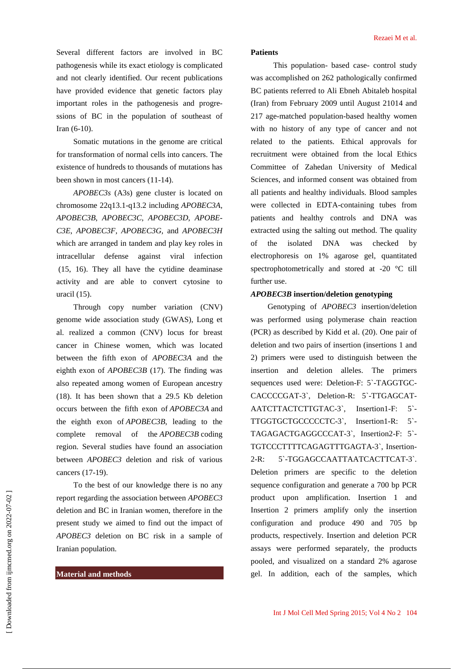Several different factors are involved in BC pathogenesis while its exact etiology is complicated and not clearly identified. Our recent publications have provided evidence that genetic factors play important roles in the pathogenesis and progressions of BC in the population of southeast of Iran (6-10).

Somatic mutations in the genome are critical for transformation of normal cells into cancers. The existence of hundreds to thousands of mutations has been shown in most cancers (11-14).

*APOBEC3s* (A3s) gene cluster is located on chromosome 22q13.1-q13.2 including *APOBEC3A*, *APOBEC3B*, *APOBEC3C*, *APOBEC3D*, *APOBE-C3E*, *APOBEC3F*, *APOBEC3G*, and *APOBEC3H* which are arranged in tandem and play key roles in intracellular defense against viral infection (15, 16). They all have the cytidine deaminase activity and are able to convert cytosine to uracil (15).

Through copy number variation (CNV) genome wide association study (GWAS), Long et al. realized a common (CNV) locus for breast cancer in Chinese women, which was located between the fifth exon of *APOBEC3A* and the eighth exon of *APOBEC3B* (17). The finding was also repeated among women of European ancestry (18). It has been shown that a 29.5 Kb deletion occurs between the fifth exon of *APOBEC3A* and the eighth exon of *APOBEC3B*, leading to the complete removal of the *APOBEC3B* coding region. Several studies have found an association between *APOBEC3* deletion and risk of various cancers (17-19).

To the best of our knowledge there is no any report regarding the association between *APOBEC3* deletion and BC in Iranian women, therefore in the present study we aimed to find out the impact of *APOBEC3* deletion on BC risk in a sample of Iranian population.

## **Material and methods**

#### **Patients**

This population- based case- control study was accomplished on 262 pathologically confirmed BC patients referred to Ali Ebneh Abitaleb hospital (Iran) from February 2009 until August 21014 and 217 age-matched population-based healthy women with no history of any type of cancer and not related to the patients. Ethical approvals for recruitment were obtained from the local Ethics Committee of Zahedan University of Medical Sciences, and informed consent was obtained from all patients and healthy individuals. Blood samples were collected in EDTA-containing tubes from patients and healthy controls and DNA was extracted using the salting out method. The quality of the isolated DNA was checked by electrophoresis on 1% agarose gel, quantitated spectrophotometrically and stored at -20 °C till further use.

## *APOBEC3B* **insertion/deletion genotyping**

Genotyping of *APOBEC3* insertion/deletion was performed using polymerase chain reaction (PCR) as described by Kidd et al. (20). One pair of deletion and two pairs of insertion (insertions 1 and 2) primers were used to distinguish between the insertion and deletion alleles. The primers sequences used were: Deletion-F: 5`-TAGGTGC-CACCCCGAT-3`, Deletion-R: 5`-TTGAGCAT-AATCTTACTCTTGTAC-3`, Insertion1-F: 5`- TTGGTGCTGCCCCCTC-3`, Insertion1-R: 5`- TAGAGACTGAGGCCCAT-3`, Insertion2-F: 5`- TGTCCCTTTTCAGAGTTTGAGTA-3`, Insertion-2-R: 5`-TGGAGCCAATTAATCACTTCAT-3`. Deletion primers are specific to the deletion sequence configuration and generate a 700 bp PCR product upon amplification. Insertion 1 and Insertion 2 primers amplify only the insertion configuration and produce 490 and 705 bp products, respectively. Insertion and deletion PCR assays were performed separately, the products pooled, and visualized on a standard 2% agarose gel. In addition, each of the samples, which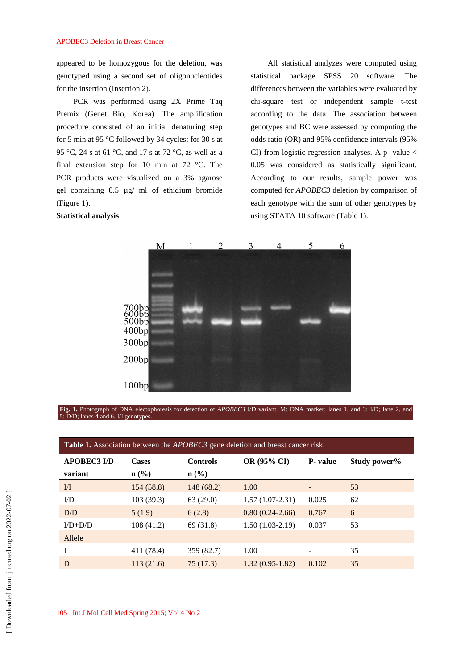#### APOBEC3 Deletion in Breast Cancer

appeared to be homozygous for the deletion, was genotyped using a second set of oligonucleotides for the insertion (Insertion 2).

PCR was performed using 2X Prime Taq Premix (Genet Bio, Korea). The amplification procedure consisted of an initial denaturing step for 5 min at 95 °C followed by 34 cycles: for 30 s at 95 °C, 24 s at 61 °C, and 17 s at 72 °C, as well as a final extension step for 10 min at 72 °C. The PCR products were visualized on a 3% agarose gel containing 0.5 µg/ ml of ethidium bromide (Figure 1).

# **Statistical analysis**

All statistical analyzes were computed using statistical package SPSS 20 software. The differences between the variables were evaluated by chi-square test or independent sample t-test according to the data. The association between genotypes and BC were assessed by computing the odds ratio (OR) and 95% confidence intervals (95% CI) from logistic regression analyses. A  $p$ - value  $\lt$ 0.05 was considered as statistically significant. According to our results, sample power was computed for *APOBEC3* deletion by comparison of each genotype with the sum of other genotypes by using STATA 10 software (Table 1).



**Fig. 1.** Photograph of DNA electophoresis for detection of *APOBEC3* I/D variant. M: DNA marker; lanes 1, and 3: I/D; lane 2, and 5: D/D; lanes 4 and 6, I/I genotypes.

| <b>Table 1.</b> Association between the <i>APOBEC3</i> gene deletion and breast cancer risk. |                  |                  |                   |          |              |  |  |
|----------------------------------------------------------------------------------------------|------------------|------------------|-------------------|----------|--------------|--|--|
| <b>APOBEC3 I/D</b>                                                                           | <b>Cases</b>     | <b>Controls</b>  | OR (95% CI)       | P- value | Study power% |  |  |
| variant                                                                                      | $\mathbf{n}(\%)$ | $\mathbf{n}(\%)$ |                   |          |              |  |  |
| $\overline{M}$                                                                               | 154 (58.8)       | 148(68.2)        | 1.00              |          | 53           |  |  |
| $\overline{L}$                                                                               | 103(39.3)        | 63(29.0)         | $1.57(1.07-2.31)$ | 0.025    | 62           |  |  |
| D/D                                                                                          | 5(1.9)           | 6(2.8)           | $0.80(0.24-2.66)$ | 0.767    | 6            |  |  |
| $I/D+D/D$                                                                                    | 108(41.2)        | 69 (31.8)        | $1.50(1.03-2.19)$ | 0.037    | 53           |  |  |
| Allele                                                                                       |                  |                  |                   |          |              |  |  |
|                                                                                              | 411 (78.4)       | 359 (82.7)       | 1.00              |          | 35           |  |  |
| D                                                                                            | 113(21.6)        | 75(17.3)         | $1.32(0.95-1.82)$ | 0.102    | 35           |  |  |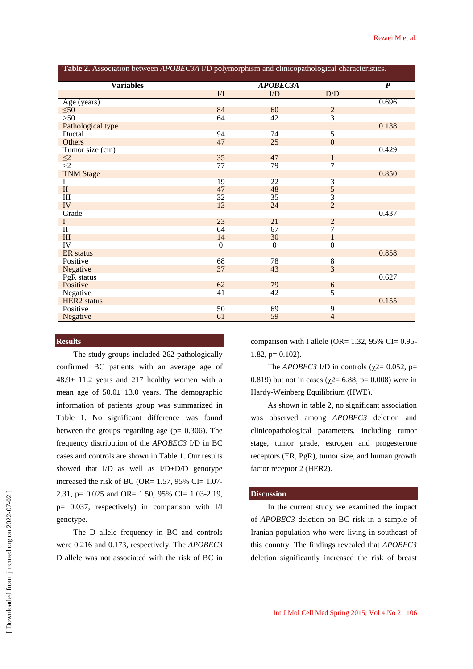| Table 2. Association between APOBEC3A I/D polymorphism and clinicopathological characteristics. |                |                 |                  |                  |  |  |  |
|-------------------------------------------------------------------------------------------------|----------------|-----------------|------------------|------------------|--|--|--|
| <b>Variables</b>                                                                                | APOBEC3A       |                 |                  | $\boldsymbol{P}$ |  |  |  |
|                                                                                                 | $\overline{M}$ | $\overline{ID}$ | D/D              |                  |  |  |  |
| Age (years)                                                                                     |                |                 |                  | 0.696            |  |  |  |
| $\leq 50$                                                                                       | 84             | 60              | $\overline{2}$   |                  |  |  |  |
| $>50$                                                                                           | 64             | 42              | $\overline{3}$   |                  |  |  |  |
| Pathological type                                                                               |                |                 |                  | 0.138            |  |  |  |
| Ductal                                                                                          | 94             | 74              | $\overline{5}$   |                  |  |  |  |
| Others                                                                                          | 47             | 25              | $\overline{0}$   |                  |  |  |  |
| Tumor size (cm)                                                                                 |                |                 |                  | 0.429            |  |  |  |
|                                                                                                 | 35             | 47              | $\mathbf{1}$     |                  |  |  |  |
| $\leq$ <sup>2</sup> $>$ 2                                                                       | 77             | 79              | 7                |                  |  |  |  |
| <b>TNM Stage</b>                                                                                |                |                 |                  | 0.850            |  |  |  |
| I                                                                                               | 19             | 22              | $\overline{3}$   |                  |  |  |  |
| $\mathbf{I}$                                                                                    | 47             | 48              | 5                |                  |  |  |  |
| III                                                                                             | 32             | 35              | $\overline{3}$   |                  |  |  |  |
| IV                                                                                              | 13             | 24              | $\overline{2}$   |                  |  |  |  |
| Grade                                                                                           |                |                 |                  | 0.437            |  |  |  |
| $\mathbf{I}$                                                                                    | 23             | 21              | $\overline{2}$   |                  |  |  |  |
| $\mathbf{I}$                                                                                    | 64             | 67              | 7                |                  |  |  |  |
| III                                                                                             | 14             | 30              | $\mathbf{1}$     |                  |  |  |  |
| IV                                                                                              | $\overline{0}$ | $\overline{0}$  | $\boldsymbol{0}$ |                  |  |  |  |
| <b>ER</b> status                                                                                |                |                 |                  | 0.858            |  |  |  |
| Positive                                                                                        | 68             | 78              | $\overline{8}$   |                  |  |  |  |
| Negative                                                                                        | 37             | 43              | $\overline{3}$   |                  |  |  |  |
| PgR status                                                                                      |                |                 |                  | 0.627            |  |  |  |
| Positive                                                                                        | 62             | 79              | $\boldsymbol{6}$ |                  |  |  |  |
| Negative                                                                                        | 41             | 42              | $\overline{5}$   |                  |  |  |  |
| <b>HER2</b> status                                                                              |                |                 |                  | 0.155            |  |  |  |
| Positive                                                                                        | 50             | 69              | 9                |                  |  |  |  |
| Negative                                                                                        | 61             | 59              | $\overline{4}$   |                  |  |  |  |

## **Results**

The study groups included 262 pathologically confirmed BC patients with an average age of 48.9± 11.2 years and 217 healthy women with a mean age of 50.0± 13.0 years. The demographic information of patients group was summarized in Table 1. No significant difference was found between the groups regarding age ( $p= 0.306$ ). The frequency distribution of the *APOBEC3* I/D in BC cases and controls are shown in Table 1. Our results showed that I/D as well as I/D+D/D genotype increased the risk of BC (OR=  $1.57$ , 95% CI=  $1.07$ -2.31, p= 0.025 and OR= 1.50, 95% CI= 1.03-2.19, p= 0.037, respectively) in comparison with I/I genotype.

The D allele frequency in BC and controls were 0.216 and 0.173, respectively. The *APOBEC3* D allele was not associated with the risk of BC in comparison with I allele (OR=  $1.32$ ,  $95\%$  CI= 0.95- $1.82$ ,  $p= 0.102$ ).

The *APOBEC3* I/D in controls ( $\chi$ 2= 0.052, p= 0.819) but not in cases ( $\chi$ 2= 6.88, p= 0.008) were in Hardy-Weinberg Equilibrium (HWE).

As shown in table 2, no significant association was observed among *APOBEC3* deletion and clinicopathological parameters, including tumor stage, tumor grade, estrogen and progesterone receptors (ER, PgR), tumor size, and human growth factor receptor 2 (HER2).

## **Discussion**

In the current study we examined the impact of *APOBEC3* deletion on BC risk in a sample of Iranian population who were living in southeast of this country. The findings revealed that *APOBEC3* deletion significantly increased the risk of breast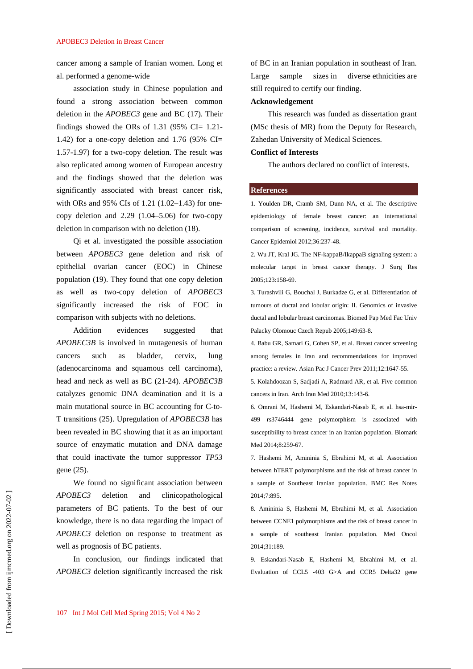#### APOBEC3 Deletion in Breast Cancer

cancer among a sample of Iranian women. Long et al. performed a genome-wide

association study in Chinese population and found a strong association between common deletion in the *APOBEC3* gene and BC (17). Their findings showed the ORs of 1.31 (95% CI=  $1.21$ -1.42) for a one-copy deletion and 1.76 (95% CI= 1.57-1.97) for a two-copy deletion. The result was also replicated among women of European ancestry and the findings showed that the deletion was significantly associated with breast cancer risk, with ORs and 95% CIs of 1.21 (1.02–1.43) for onecopy deletion and 2.29 (1.04–5.06) for two-copy deletion in comparison with no deletion (18).

Qi et al. investigated the possible association between *APOBEC3* gene deletion and risk of epithelial ovarian cancer (EOC) in Chinese population (19). They found that one copy deletion as well as two-copy deletion of *APOBEC3* significantly increased the risk of EOC in comparison with subjects with no deletions.

Addition evidences suggested that *APOBEC3B* is involved in mutagenesis of human cancers such as bladder, cervix, lung (adenocarcinoma and squamous cell carcinoma), head and neck as well as BC (21-24). *APOBEC3B* catalyzes genomic DNA deamination and it is a main mutational source in BC accounting for C-to-T transitions (25). Upregulation of *APOBEC3B* has been revealed in BC showing that it as an important source of enzymatic mutation and DNA damage that could inactivate the tumor suppressor *TP53* gene (25).

We found no significant association between *APOBEC3* deletion and clinicopathological parameters of BC patients. To the best of our knowledge, there is no data regarding the impact of *APOBEC3* deletion on response to treatment as well as prognosis of BC patients.

In conclusion, our findings indicated that *APOBEC3* deletion significantly increased the risk of BC in an Iranian population in southeast of Iran. Large sample sizes in diverse ethnicities are still required to certify our finding.

### **Acknowledgement**

This research was funded as dissertation grant (MSc thesis of MR) from the Deputy for Research, Zahedan University of Medical Sciences.

## **Conflict of Interests**

The authors declared no conflict of interests.

### **References**

1. Youlden DR, Cramb SM, Dunn NA, et al. The descriptive epidemiology of female breast cancer: an international comparison of screening, incidence, survival and mortality. Cancer Epidemiol 2012;36:237-48.

2. Wu JT, Kral JG. The NF-kappaB/IkappaB signaling system: a molecular target in breast cancer therapy. J Surg Res 2005;123:158-69.

3. Turashvili G, Bouchal J, Burkadze G, et al. Differentiation of tumours of ductal and lobular origin: II. Genomics of invasive ductal and lobular breast carcinomas. Biomed Pap Med Fac Univ Palacky Olomouc Czech Repub 2005;149:63-8.

4. Babu GR, Samari G, Cohen SP, et al. Breast cancer screening among females in Iran and recommendations for improved practice: a review. Asian Pac J Cancer Prev 2011;12:1647-55.

5. Kolahdoozan S, Sadjadi A, Radmard AR, et al. Five common cancers in Iran. Arch Iran Med 2010;13:143-6.

6. Omrani M, Hashemi M, Eskandari-Nasab E, et al. hsa-mir-499 rs3746444 gene polymorphism is associated with susceptibility to breast cancer in an Iranian population. Biomark Med 2014;8:259-67.

7. Hashemi M, Amininia S, Ebrahimi M, et al. Association between hTERT polymorphisms and the risk of breast cancer in a sample of Southeast Iranian population. BMC Res Notes 2014;7:895.

8. Amininia S, Hashemi M, Ebrahimi M, et al. Association between CCNE1 polymorphisms and the risk of breast cancer in a sample of southeast Iranian population. Med Oncol 2014;31:189.

9. Eskandari-Nasab E, Hashemi M, Ebrahimi M, et al. Evaluation of CCL5 -403 G>A and CCR5 Delta32 gene